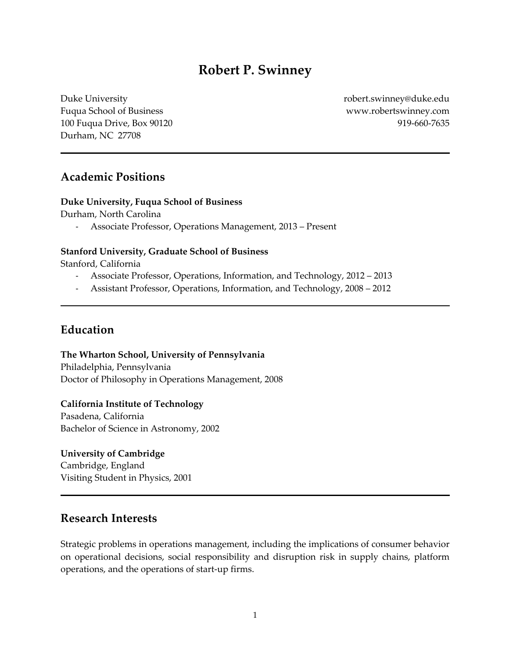# **Robert P. Swinney**

Duke University Fuqua School of Business 100 Fuqua Drive, Box 90120 Durham, NC 27708

robert.swinney@duke.edu www.robertswinney.com 919-660-7635

## **Academic Positions**

#### **Duke University, Fuqua School of Business**

Durham, North Carolina

- Associate Professor, Operations Management, 2013 – Present

#### **Stanford University, Graduate School of Business**

Stanford, California

- Associate Professor, Operations, Information, and Technology, 2012 2013
- Assistant Professor, Operations, Information, and Technology, 2008 2012

## **Education**

**The Wharton School, University of Pennsylvania** Philadelphia, Pennsylvania Doctor of Philosophy in Operations Management, 2008

**California Institute of Technology**

Pasadena, California Bachelor of Science in Astronomy, 2002

**University of Cambridge** Cambridge, England Visiting Student in Physics, 2001

## **Research Interests**

Strategic problems in operations management, including the implications of consumer behavior on operational decisions, social responsibility and disruption risk in supply chains, platform operations, and the operations of start-up firms.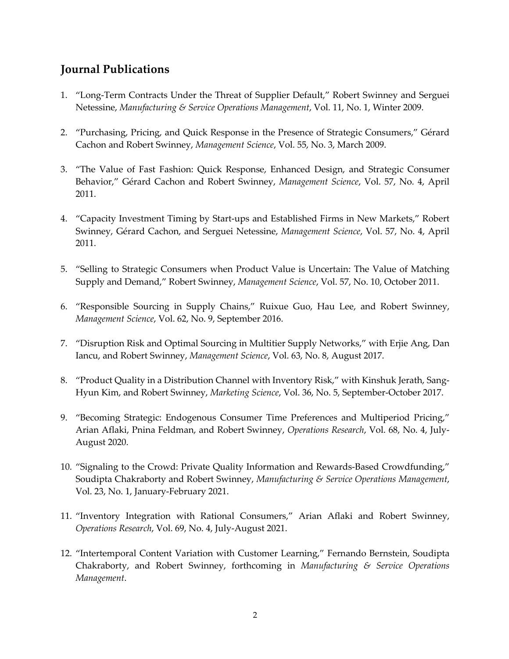# **Journal Publications**

- 1. "Long-Term Contracts Under the Threat of Supplier Default," Robert Swinney and Serguei Netessine, *Manufacturing & Service Operations Management*, Vol. 11, No. 1, Winter 2009.
- 2. "Purchasing, Pricing, and Quick Response in the Presence of Strategic Consumers," Gérard Cachon and Robert Swinney, *Management Science*, Vol. 55, No. 3, March 2009.
- 3. "The Value of Fast Fashion: Quick Response, Enhanced Design, and Strategic Consumer Behavior," Gérard Cachon and Robert Swinney, *Management Science*, Vol. 57, No. 4, April 2011.
- 4. "Capacity Investment Timing by Start-ups and Established Firms in New Markets," Robert Swinney, Gérard Cachon, and Serguei Netessine, *Management Science*, Vol. 57, No. 4, April 2011.
- 5. "Selling to Strategic Consumers when Product Value is Uncertain: The Value of Matching Supply and Demand," Robert Swinney, *Management Science*, Vol. 57, No. 10, October 2011.
- 6. "Responsible Sourcing in Supply Chains," Ruixue Guo, Hau Lee, and Robert Swinney, *Management Science*, Vol. 62, No. 9, September 2016.
- 7. "Disruption Risk and Optimal Sourcing in Multitier Supply Networks," with Erjie Ang, Dan Iancu, and Robert Swinney, *Management Science*, Vol. 63, No. 8, August 2017.
- 8. "Product Quality in a Distribution Channel with Inventory Risk," with Kinshuk Jerath, Sang-Hyun Kim, and Robert Swinney, *Marketing Science*, Vol. 36, No. 5, September-October 2017.
- 9. "Becoming Strategic: Endogenous Consumer Time Preferences and Multiperiod Pricing," Arian Aflaki, Pnina Feldman, and Robert Swinney, *Operations Research*, Vol. 68, No. 4, July-August 2020.
- 10. "Signaling to the Crowd: Private Quality Information and Rewards-Based Crowdfunding," Soudipta Chakraborty and Robert Swinney, *Manufacturing & Service Operations Management*, Vol. 23, No. 1, January-February 2021.
- 11. "Inventory Integration with Rational Consumers," Arian Aflaki and Robert Swinney, *Operations Research*, Vol. 69, No. 4, July-August 2021.
- 12. "Intertemporal Content Variation with Customer Learning," Fernando Bernstein, Soudipta Chakraborty, and Robert Swinney, forthcoming in *Manufacturing & Service Operations Management*.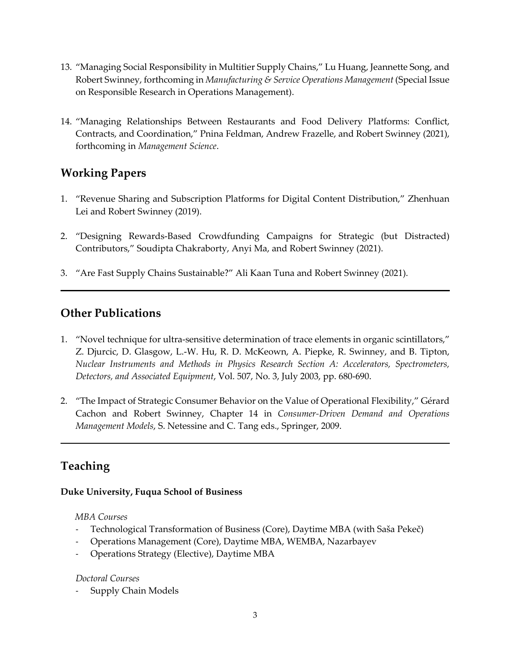- 13. "Managing Social Responsibility in Multitier Supply Chains," Lu Huang, Jeannette Song, and Robert Swinney, forthcoming in *Manufacturing & Service Operations Management* (Special Issue on Responsible Research in Operations Management).
- 14. "Managing Relationships Between Restaurants and Food Delivery Platforms: Conflict, Contracts, and Coordination," Pnina Feldman, Andrew Frazelle, and Robert Swinney (2021), forthcoming in *Management Science*.

# **Working Papers**

- 1. "Revenue Sharing and Subscription Platforms for Digital Content Distribution," Zhenhuan Lei and Robert Swinney (2019).
- 2. "Designing Rewards-Based Crowdfunding Campaigns for Strategic (but Distracted) Contributors," Soudipta Chakraborty, Anyi Ma, and Robert Swinney (2021).
- 3. "Are Fast Supply Chains Sustainable?" Ali Kaan Tuna and Robert Swinney (2021).

# **Other Publications**

- 1. "Novel technique for ultra-sensitive determination of trace elements in organic scintillators," Z. Djurcic, D. Glasgow, L.-W. Hu, R. D. McKeown, A. Piepke, R. Swinney, and B. Tipton, *Nuclear Instruments and Methods in Physics Research Section A: Accelerators, Spectrometers, Detectors, and Associated Equipment*, Vol. 507, No. 3, July 2003, pp. 680-690.
- 2. "The Impact of Strategic Consumer Behavior on the Value of Operational Flexibility," Gérard Cachon and Robert Swinney, Chapter 14 in *Consumer-Driven Demand and Operations Management Models*, S. Netessine and C. Tang eds., Springer, 2009.

# **Teaching**

### **Duke University, Fuqua School of Business**

### *MBA Courses*

- Technological Transformation of Business (Core), Daytime MBA (with Saša Pekeč)
- Operations Management (Core), Daytime MBA, WEMBA, Nazarbayev
- Operations Strategy (Elective), Daytime MBA

### *Doctoral Courses*

- Supply Chain Models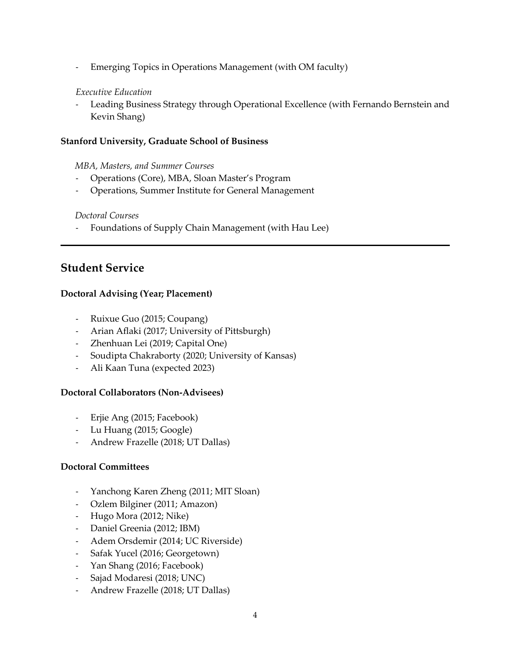- Emerging Topics in Operations Management (with OM faculty)

### *Executive Education*

- Leading Business Strategy through Operational Excellence (with Fernando Bernstein and Kevin Shang)

### **Stanford University, Graduate School of Business**

### *MBA, Masters, and Summer Courses*

- Operations (Core), MBA, Sloan Master's Program
- Operations, Summer Institute for General Management

### *Doctoral Courses*

- Foundations of Supply Chain Management (with Hau Lee)

## **Student Service**

### **Doctoral Advising (Year; Placement)**

- Ruixue Guo (2015; Coupang)
- Arian Aflaki (2017; University of Pittsburgh)
- Zhenhuan Lei (2019; Capital One)
- Soudipta Chakraborty (2020; University of Kansas)
- Ali Kaan Tuna (expected 2023)

### **Doctoral Collaborators (Non-Advisees)**

- Erjie Ang (2015; Facebook)
- Lu Huang (2015; Google)
- Andrew Frazelle (2018; UT Dallas)

### **Doctoral Committees**

- Yanchong Karen Zheng (2011; MIT Sloan)
- Ozlem Bilginer (2011; Amazon)
- Hugo Mora (2012; Nike)
- Daniel Greenia (2012; IBM)
- Adem Orsdemir (2014; UC Riverside)
- Safak Yucel (2016; Georgetown)
- Yan Shang (2016; Facebook)
- Sajad Modaresi (2018; UNC)
- Andrew Frazelle (2018; UT Dallas)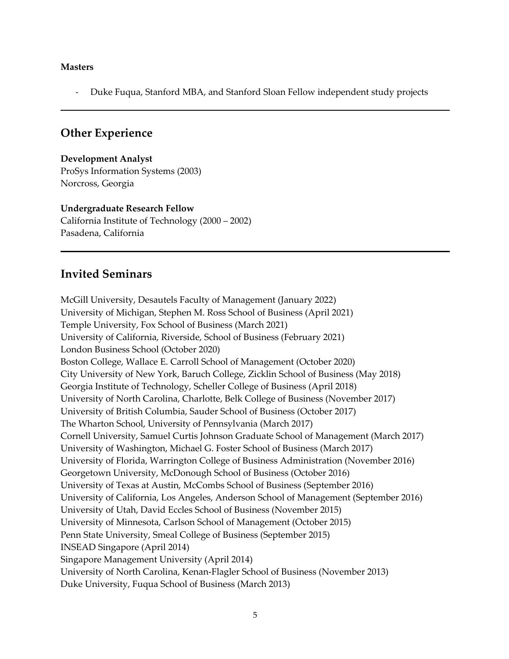### **Masters**

- Duke Fuqua, Stanford MBA, and Stanford Sloan Fellow independent study projects

## **Other Experience**

**Development Analyst** ProSys Information Systems (2003) Norcross, Georgia

**Undergraduate Research Fellow** California Institute of Technology (2000 – 2002) Pasadena, California

# **Invited Seminars**

McGill University, Desautels Faculty of Management (January 2022) University of Michigan, Stephen M. Ross School of Business (April 2021) Temple University, Fox School of Business (March 2021) University of California, Riverside, School of Business (February 2021) London Business School (October 2020) Boston College, Wallace E. Carroll School of Management (October 2020) City University of New York, Baruch College, Zicklin School of Business (May 2018) Georgia Institute of Technology, Scheller College of Business (April 2018) University of North Carolina, Charlotte, Belk College of Business (November 2017) University of British Columbia, Sauder School of Business (October 2017) The Wharton School, University of Pennsylvania (March 2017) Cornell University, Samuel Curtis Johnson Graduate School of Management (March 2017) University of Washington, Michael G. Foster School of Business (March 2017) University of Florida, Warrington College of Business Administration (November 2016) Georgetown University, McDonough School of Business (October 2016) University of Texas at Austin, McCombs School of Business (September 2016) University of California, Los Angeles, Anderson School of Management (September 2016) University of Utah, David Eccles School of Business (November 2015) University of Minnesota, Carlson School of Management (October 2015) Penn State University, Smeal College of Business (September 2015) INSEAD Singapore (April 2014) Singapore Management University (April 2014) University of North Carolina, Kenan-Flagler School of Business (November 2013) Duke University, Fuqua School of Business (March 2013)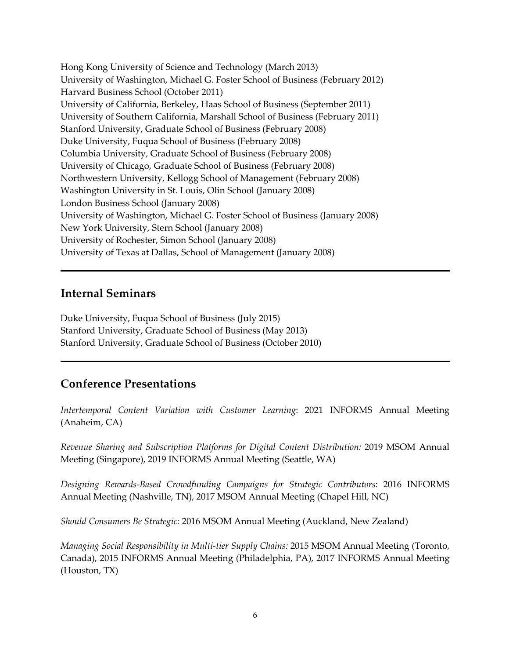Hong Kong University of Science and Technology (March 2013) University of Washington, Michael G. Foster School of Business (February 2012) Harvard Business School (October 2011) University of California, Berkeley, Haas School of Business (September 2011) University of Southern California, Marshall School of Business (February 2011) Stanford University, Graduate School of Business (February 2008) Duke University, Fuqua School of Business (February 2008) Columbia University, Graduate School of Business (February 2008) University of Chicago, Graduate School of Business (February 2008) Northwestern University, Kellogg School of Management (February 2008) Washington University in St. Louis, Olin School (January 2008) London Business School (January 2008) University of Washington, Michael G. Foster School of Business (January 2008) New York University, Stern School (January 2008) University of Rochester, Simon School (January 2008) University of Texas at Dallas, School of Management (January 2008)

## **Internal Seminars**

Duke University, Fuqua School of Business (July 2015) Stanford University, Graduate School of Business (May 2013) Stanford University, Graduate School of Business (October 2010)

## **Conference Presentations**

*Intertemporal Content Variation with Customer Learning*: 2021 INFORMS Annual Meeting (Anaheim, CA)

*Revenue Sharing and Subscription Platforms for Digital Content Distribution:* 2019 MSOM Annual Meeting (Singapore), 2019 INFORMS Annual Meeting (Seattle, WA)

*Designing Rewards-Based Crowdfunding Campaigns for Strategic Contributors*: 2016 INFORMS Annual Meeting (Nashville, TN), 2017 MSOM Annual Meeting (Chapel Hill, NC)

*Should Consumers Be Strategic:* 2016 MSOM Annual Meeting (Auckland, New Zealand)

*Managing Social Responsibility in Multi-tier Supply Chains:* 2015 MSOM Annual Meeting (Toronto, Canada), 2015 INFORMS Annual Meeting (Philadelphia, PA), 2017 INFORMS Annual Meeting (Houston, TX)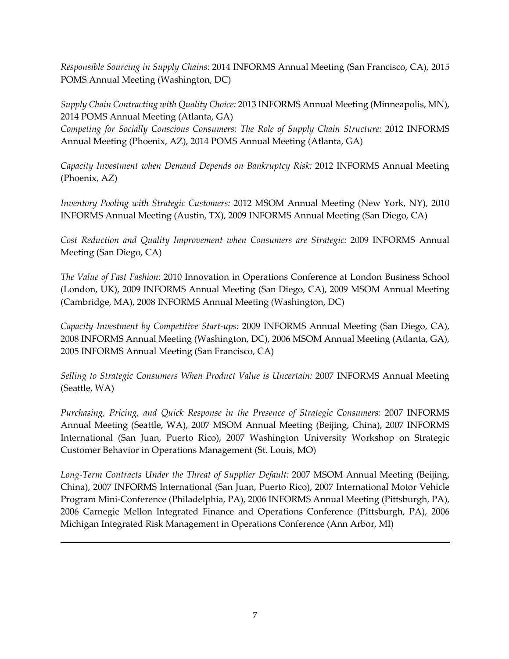*Responsible Sourcing in Supply Chains:* 2014 INFORMS Annual Meeting (San Francisco, CA), 2015 POMS Annual Meeting (Washington, DC)

*Supply Chain Contracting with Quality Choice:* 2013 INFORMS Annual Meeting (Minneapolis, MN), 2014 POMS Annual Meeting (Atlanta, GA)

*Competing for Socially Conscious Consumers: The Role of Supply Chain Structure:* 2012 INFORMS Annual Meeting (Phoenix, AZ), 2014 POMS Annual Meeting (Atlanta, GA)

*Capacity Investment when Demand Depends on Bankruptcy Risk:* 2012 INFORMS Annual Meeting (Phoenix, AZ)

*Inventory Pooling with Strategic Customers:* 2012 MSOM Annual Meeting (New York, NY), 2010 INFORMS Annual Meeting (Austin, TX), 2009 INFORMS Annual Meeting (San Diego, CA)

*Cost Reduction and Quality Improvement when Consumers are Strategic:* 2009 INFORMS Annual Meeting (San Diego, CA)

*The Value of Fast Fashion:* 2010 Innovation in Operations Conference at London Business School (London, UK), 2009 INFORMS Annual Meeting (San Diego, CA), 2009 MSOM Annual Meeting (Cambridge, MA), 2008 INFORMS Annual Meeting (Washington, DC)

*Capacity Investment by Competitive Start-ups:* 2009 INFORMS Annual Meeting (San Diego, CA), 2008 INFORMS Annual Meeting (Washington, DC), 2006 MSOM Annual Meeting (Atlanta, GA), 2005 INFORMS Annual Meeting (San Francisco, CA)

*Selling to Strategic Consumers When Product Value is Uncertain:* 2007 INFORMS Annual Meeting (Seattle, WA)

*Purchasing, Pricing, and Quick Response in the Presence of Strategic Consumers:* 2007 INFORMS Annual Meeting (Seattle, WA), 2007 MSOM Annual Meeting (Beijing, China), 2007 INFORMS International (San Juan, Puerto Rico), 2007 Washington University Workshop on Strategic Customer Behavior in Operations Management (St. Louis, MO)

*Long-Term Contracts Under the Threat of Supplier Default:* 2007 MSOM Annual Meeting (Beijing, China), 2007 INFORMS International (San Juan, Puerto Rico), 2007 International Motor Vehicle Program Mini-Conference (Philadelphia, PA), 2006 INFORMS Annual Meeting (Pittsburgh, PA), 2006 Carnegie Mellon Integrated Finance and Operations Conference (Pittsburgh, PA), 2006 Michigan Integrated Risk Management in Operations Conference (Ann Arbor, MI)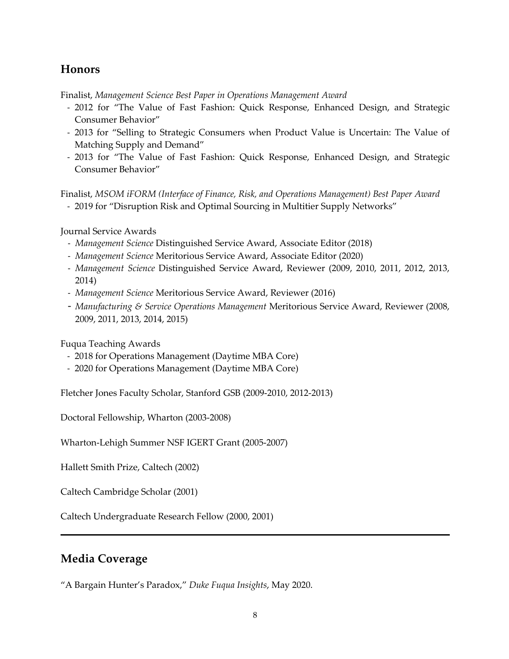# **Honors**

Finalist, *Management Science Best Paper in Operations Management Award*

- 2012 for "The Value of Fast Fashion: Quick Response, Enhanced Design, and Strategic Consumer Behavior"
- 2013 for "Selling to Strategic Consumers when Product Value is Uncertain: The Value of Matching Supply and Demand"
- 2013 for "The Value of Fast Fashion: Quick Response, Enhanced Design, and Strategic Consumer Behavior"

Finalist, *MSOM iFORM (Interface of Finance, Risk, and Operations Management) Best Paper Award*

- 2019 for "Disruption Risk and Optimal Sourcing in Multitier Supply Networks"

Journal Service Awards

- *Management Science* Distinguished Service Award, Associate Editor (2018)
- *Management Science* Meritorious Service Award, Associate Editor (2020)
- *Management Science* Distinguished Service Award, Reviewer (2009, 2010, 2011, 2012, 2013, 2014)
- *Management Science* Meritorious Service Award, Reviewer (2016)
- *Manufacturing & Service Operations Management* Meritorious Service Award, Reviewer (2008, 2009, 2011, 2013, 2014, 2015)

Fuqua Teaching Awards

- 2018 for Operations Management (Daytime MBA Core)
- 2020 for Operations Management (Daytime MBA Core)

Fletcher Jones Faculty Scholar, Stanford GSB (2009-2010, 2012-2013)

Doctoral Fellowship, Wharton (2003-2008)

Wharton-Lehigh Summer NSF IGERT Grant (2005-2007)

Hallett Smith Prize, Caltech (2002)

Caltech Cambridge Scholar (2001)

Caltech Undergraduate Research Fellow (2000, 2001)

# **Media Coverage**

"A Bargain Hunter's Paradox," *Duke Fuqua Insights*, May 2020.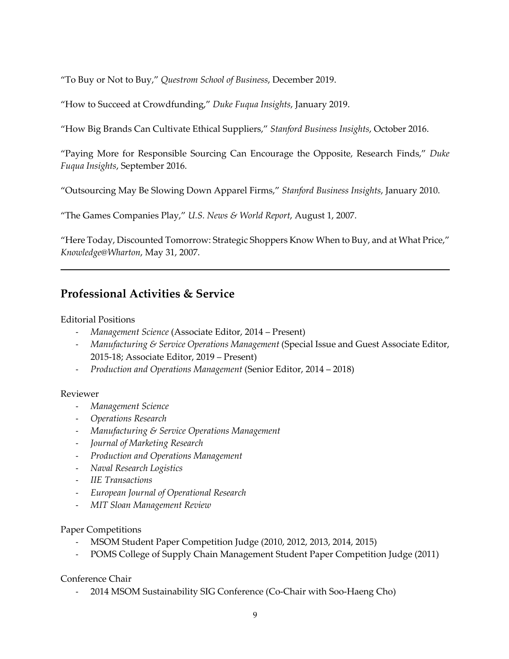"To Buy or Not to Buy," *Questrom School of Business*, December 2019.

"How to Succeed at Crowdfunding," *Duke Fuqua Insights*, January 2019.

"How Big Brands Can Cultivate Ethical Suppliers," *Stanford Business Insights*, October 2016.

"Paying More for Responsible Sourcing Can Encourage the Opposite, Research Finds," *Duke Fuqua Insights*, September 2016.

"Outsourcing May Be Slowing Down Apparel Firms," *Stanford Business Insights*, January 2010.

"The Games Companies Play," *U.S. News & World Report*, August 1, 2007.

"Here Today, Discounted Tomorrow: Strategic Shoppers Know When to Buy, and at What Price," *Knowledge@Wharton*, May 31, 2007.

# **Professional Activities & Service**

### Editorial Positions

- *Management Science* (Associate Editor, 2014 Present)
- *Manufacturing & Service Operations Management* (Special Issue and Guest Associate Editor, 2015-18; Associate Editor, 2019 – Present)
- *Production and Operations Management* (Senior Editor, 2014 2018)

### Reviewer

- *Management Science*
- *Operations Research*
- *Manufacturing & Service Operations Management*
- *Journal of Marketing Research*
- *Production and Operations Management*
- *Naval Research Logistics*
- *IIE Transactions*
- *European Journal of Operational Research*
- *MIT Sloan Management Review*

### Paper Competitions

- MSOM Student Paper Competition Judge (2010, 2012, 2013, 2014, 2015)
- POMS College of Supply Chain Management Student Paper Competition Judge (2011)

Conference Chair

- 2014 MSOM Sustainability SIG Conference (Co-Chair with Soo-Haeng Cho)